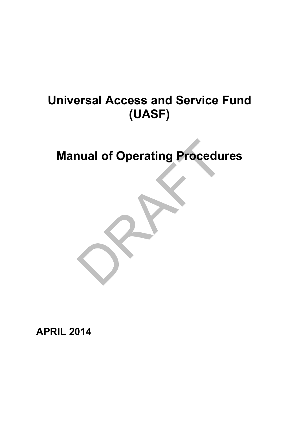# **Universal Access and Service Fund (UASF)**

**Manual of Operating Procedures**



**APRIL 2014**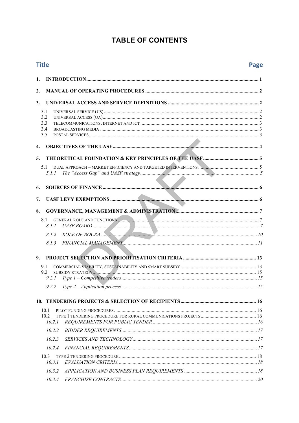# **TABLE OF CONTENTS**

| <b>Title</b>   |                                   |  |
|----------------|-----------------------------------|--|
| 1.             |                                   |  |
| 2.             |                                   |  |
| 3.             |                                   |  |
|                | 3.1                               |  |
|                | 3.2                               |  |
|                | 3.3                               |  |
|                | 3.4<br>3.5                        |  |
|                |                                   |  |
| 4.             |                                   |  |
| 5 <sub>1</sub> |                                   |  |
|                | 5.1                               |  |
|                | 5.1.1                             |  |
|                |                                   |  |
| 6.             |                                   |  |
| 7.             |                                   |  |
| 8.             |                                   |  |
|                | GENERAL ROLE AND FUNCTIONS<br>8.1 |  |
|                | 8.1.1                             |  |
|                | 8.1.2                             |  |
|                | 8.1.3                             |  |
|                |                                   |  |
| 9.             |                                   |  |
|                | 9.1                               |  |
|                | 9.2                               |  |
|                |                                   |  |
|                |                                   |  |
|                |                                   |  |
|                | 10.1                              |  |
|                | 10.2                              |  |
|                | 10.2.1                            |  |
|                | 10.2.2                            |  |
|                | 10.2.3                            |  |
|                | 10.2.4                            |  |
|                | 10.3                              |  |
|                | 10.3.1                            |  |
|                | 10.3.2                            |  |
|                | 10.3.4                            |  |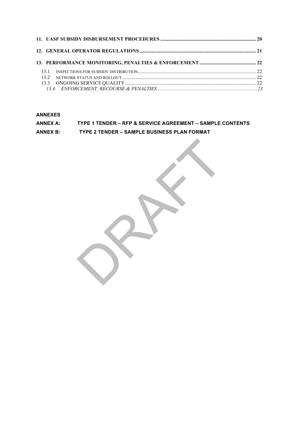| 131  |  |
|------|--|
| 13.2 |  |
|      |  |
|      |  |

**ANNEXES**

#### **ANNEX A: TYPE 1 TENDER – RFP & SERVICE AGREEMENT – SAMPLE CONTENTS**

**ANNEX B: TYPE 2 TENDER – SAMPLE BUSINESS PLAN FORMAT**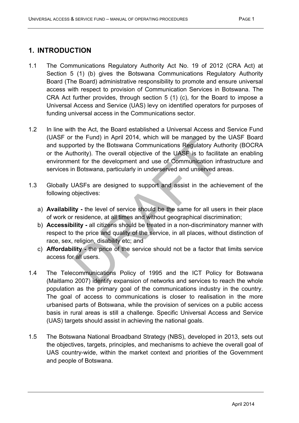# **1. INTRODUCTION**

- 1.1 The Communications Regulatory Authority Act No. 19 of 2012 (CRA Act) at Section 5 (1) (b) gives the Botswana Communications Regulatory Authority Board (The Board) administrative responsibility to promote and ensure universal access with respect to provision of Communication Services in Botswana. The CRA Act further provides, through section 5 (1) (c), for the Board to impose a Universal Access and Service (UAS) levy on identified operators for purposes of funding universal access in the Communications sector.
- 1.2 In line with the Act, the Board established a Universal Access and Service Fund (UASF or the Fund) in April 2014, which will be managed by the UASF Board and supported by the Botswana Communications Regulatory Authority (BOCRA or the Authority). The overall objective of the UASF is to facilitate an enabling environment for the development and use of Communication infrastructure and services in Botswana, particularly in underserved and unserved areas.
- 1.3 Globally UASFs are designed to support and assist in the achievement of the following objectives:
	- a) **Availability -** the level of service should be the same for all users in their place of work or residence, at all times and without geographical discrimination;
	- b) **Accessibility -** all citizens should be treated in a non-discriminatory manner with respect to the price and quality of the service, in all places, without distinction of race, sex, religion, disability etc; and
	- c) **Affordability -** the price of the service should not be a factor that limits service access for all users.
- 1.4 The Telecommunications Policy of 1995 and the ICT Policy for Botswana (Maitlamo 2007) identify expansion of networks and services to reach the whole population as the primary goal of the communications industry in the country. The goal of access to communications is closer to realisation in the more urbanised parts of Botswana, while the provision of services on a public access basis in rural areas is still a challenge. Specific Universal Access and Service (UAS) targets should assist in achieving the national goals.
- 1.5 The Botswana National Broadband Strategy (NBS), developed in 2013, sets out the objectives, targets, principles, and mechanisms to achieve the overall goal of UAS country-wide, within the market context and priorities of the Government and people of Botswana.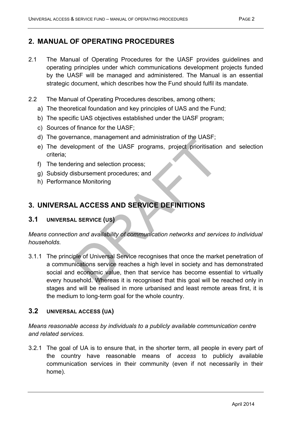# **2. MANUAL OF OPERATING PROCEDURES**

- 2.1 The Manual of Operating Procedures for the UASF provides guidelines and operating principles under which communications development projects funded by the UASF will be managed and administered. The Manual is an essential strategic document, which describes how the Fund should fulfil its mandate.
- 2.2 The Manual of Operating Procedures describes, among others;
	- a) The theoretical foundation and key principles of UAS and the Fund;
	- b) The specific UAS objectives established under the UASF program;
	- c) Sources of finance for the UASF;
	- d) The governance, management and administration of the UASF;
	- e) The development of the UASF programs, project prioritisation and selection criteria;
	- f) The tendering and selection process;
	- g) Subsidy disbursement procedures; and
	- h) Performance Monitoring

# **3. UNIVERSAL ACCESS AND SERVICE DEFINITIONS**

## **3.1 UNIVERSAL SERVICE (US)**

*Means connection and availability of communication networks and services to individual households.*

3.1.1 The principle of Universal Service recognises that once the market penetration of a communications service reaches a high level in society and has demonstrated social and economic value, then that service has become essential to virtually every household. Whereas it is recognised that this goal will be reached only in stages and will be realised in more urbanised and least remote areas first, it is the medium to long-term goal for the whole country.

## **3.2 UNIVERSAL ACCESS (UA)**

*Means reasonable access by individuals to a publicly available communication centre and related services.*

3.2.1 The goal of UA is to ensure that, in the shorter term, all people in every part of the country have reasonable means of *access* to publicly available communication services in their community (even if not necessarily in their home).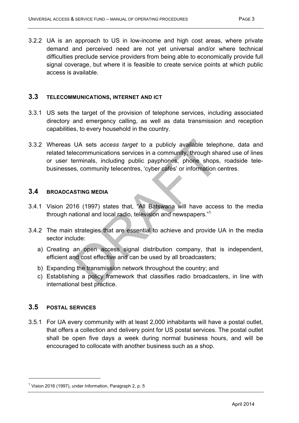3.2.2 UA is an approach to US in low-income and high cost areas, where private demand and perceived need are not yet universal and/or where technical difficulties preclude service providers from being able to economically provide full signal coverage, but where it is feasible to create service points at which public access is available.

## **3.3 TELECOMMUNICATIONS, INTERNET AND ICT**

- 3.3.1 US sets the target of the provision of telephone services, including associated directory and emergency calling, as well as data transmission and reception capabilities, to every household in the country.
- 3.3.2 Whereas UA sets *access target* to a publicly available telephone, data and related telecommunications services in a community, through shared use of lines or user terminals, including public payphones, phone shops, roadside telebusinesses, community telecentres, 'cyber cafés' or information centres.

## **3.4 BROADCASTING MEDIA**

- 3.4.1 Vision 2016 (1997) states that, "All Batswana will have access to the media through national and local radio, television and newspapers."1
- 3.4.2 The main strategies that are essential to achieve and provide UA in the media sector include:
	- a) Creating an open access signal distribution company, that is independent, efficient and cost effective and can be used by all broadcasters;
	- b) Expanding the transmission network throughout the country; and
	- c) Establishing a policy framework that classifies radio broadcasters, in line with international best practice.

# **3.5 POSTAL SERVICES**

l

3.5.1 For UA every community with at least 2,000 inhabitants will have a postal outlet, that offers a collection and delivery point for US postal services. The postal outlet shall be open five days a week during normal business hours, and will be encouraged to collocate with another business such as a shop.

 $1$  Vision 2016 (1997), under Information, Paragraph 2, p. 5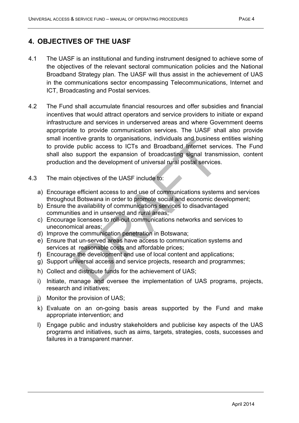# **4. OBJECTIVES OF THE UASF**

- 4.1 The UASF is an institutional and funding instrument designed to achieve some of the objectives of the relevant sectoral communication policies and the National Broadband Strategy plan. The UASF will thus assist in the achievement of UAS in the communications sector encompassing Telecommunications, Internet and ICT, Broadcasting and Postal services.
- 4.2 The Fund shall accumulate financial resources and offer subsidies and financial incentives that would attract operators and service providers to initiate or expand infrastructure and services in underserved areas and where Government deems appropriate to provide communication services. The UASF shall also provide small incentive grants to organisations, individuals and business entities wishing to provide public access to ICTs and Broadband Internet services. The Fund shall also support the expansion of broadcasting signal transmission, content production and the development of universal rural postal services.
- 4.3 The main objectives of the UASF include to:
	- a) Encourage efficient access to and use of communications systems and services throughout Botswana in order to promote social and economic development;
	- b) Ensure the availability of communications services to disadvantaged communities and in unserved and rural areas;
	- c) Encourage licensees to roll-out communications networks and services to uneconomical areas;
	- d) Improve the communication penetration in Botswana;
	- e) Ensure that un-served areas have access to communication systems and services at reasonable costs and affordable prices;
	- f) Encourage the development and use of local content and applications;
	- g) Support universal access and service projects, research and programmes;
	- h) Collect and distribute funds for the achievement of UAS;
	- i) Initiate, manage and oversee the implementation of UAS programs, projects, research and initiatives;
	- j) Monitor the provision of UAS;
	- k) Evaluate on an on-going basis areas supported by the Fund and make appropriate intervention; and
	- l) Engage public and industry stakeholders and publicise key aspects of the UAS programs and initiatives, such as aims, targets, strategies, costs, successes and failures in a transparent manner.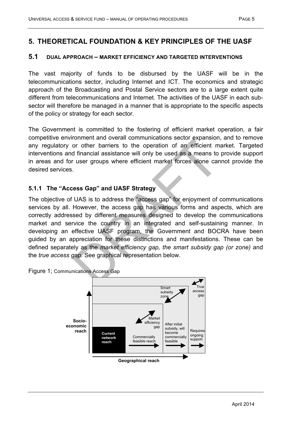# **5. THEORETICAL FOUNDATION & KEY PRINCIPLES OF THE UASF**

#### **5.1 DUAL APPROACH – MARKET EFFICIENCY AND TARGETED INTERVENTIONS**

The vast majority of funds to be disbursed by the UASF will be in the telecommunications sector, including Internet and ICT. The economics and strategic approach of the Broadcasting and Postal Service sectors are to a large extent quite different from telecommunications and Internet. The activities of the UASF in each subsector will therefore be managed in a manner that is appropriate to the specific aspects of the policy or strategy for each sector.

The Government is committed to the fostering of efficient market operation, a fair competitive environment and overall communications sector expansion, and to remove any regulatory or other barriers to the operation of an efficient market. Targeted interventions and financial assistance will only be used as a means to provide support in areas and for user groups where efficient market forces alone cannot provide the desired services.

#### **5.1.1 The "Access Gap" and UASF Strategy**

The objective of UAS is to address the "access gap" for enjoyment of communications services by all. However, the access gap has various forms and aspects, which are correctly addressed by different measures designed to develop the communications market and service the country in an integrated and self-sustaining manner. In developing an effective UASF program, the Government and BOCRA have been guided by an appreciation for these distinctions and manifestations. These can be defined separately as the *market efficiency gap, the smart subsidy gap (or zone)* and the *true access gap.* See graphical representation below.



Figure 1; Communications Access Gap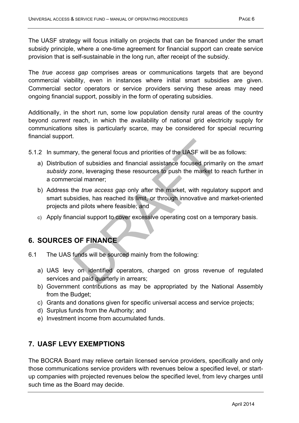The UASF strategy will focus initially on projects that can be financed under the smart subsidy principle, where a one-time agreement for financial support can create service provision that is self-sustainable in the long run, after receipt of the subsidy.

The *true access gap* comprises areas or communications targets that are beyond commercial viability, even in instances where initial smart subsidies are given. Commercial sector operators or service providers serving these areas may need ongoing financial support, possibly in the form of operating subsidies.

Additionally, in the short run, some low population density rural areas of the country beyond *current* reach, in which the availability of national grid electricity supply for communications sites is particularly scarce, may be considered for special recurring financial support.

- 5.1.2 In summary, the general focus and priorities of the UASF will be as follows:
	- a) Distribution of subsidies and financial assistance focused primarily on the *smart subsidy zone*, leveraging these resources to push the market to reach further in a commercial manner;
	- b) Address the *true access gap* only after the market, with regulatory support and smart subsidies, has reached its limit, or through innovative and market-oriented projects and pilots where feasible; and
	- c) Apply financial support to cover excessive operating cost on a temporary basis.

# **6. SOURCES OF FINANCE**

- 6.1 The UAS funds will be sourced mainly from the following:
	- a) UAS levy on identified operators, charged on gross revenue of regulated services and paid quarterly in arrears;
	- b) Government contributions as may be appropriated by the National Assembly from the Budget;
	- c) Grants and donations given for specific universal access and service projects;
	- d) Surplus funds from the Authority; and
	- e) Investment income from accumulated funds.

# **7. UASF LEVY EXEMPTIONS**

The BOCRA Board may relieve certain licensed service providers, specifically and only those communications service providers with revenues below a specified level, or startup companies with projected revenues below the specified level, from levy charges until such time as the Board may decide.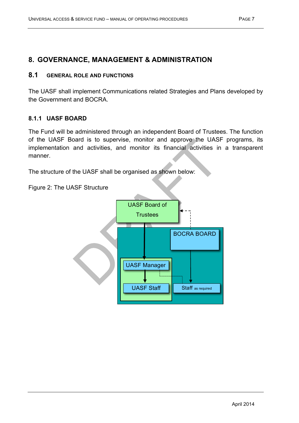# **8. GOVERNANCE, MANAGEMENT & ADMINISTRATION**

## **8.1 GENERAL ROLE AND FUNCTIONS**

The UASF shall implement Communications related Strategies and Plans developed by the Government and BOCRA.

#### **8.1.1 UASF BOARD**

The Fund will be administered through an independent Board of Trustees. The function of the UASF Board is to supervise, monitor and approve the UASF programs, its implementation and activities, and monitor its financial activities in a transparent manner.

The structure of the UASF shall be organised as shown below:

Figure 2: The UASF Structure

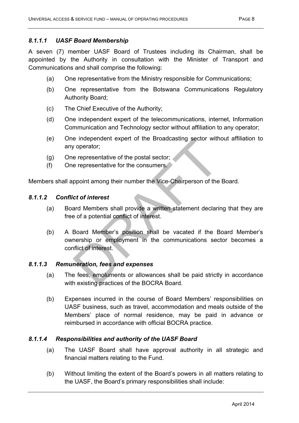# *8.1.1.1 UASF Board Membership*

A seven (7) member UASF Board of Trustees including its Chairman, shall be appointed by the Authority in consultation with the Minister of Transport and Communications and shall comprise the following:

- (a) One representative from the Ministry responsible for Communications;
- (b) One representative from the Botswana Communications Regulatory Authority Board;
- (c) The Chief Executive of the Authority;
- (d) One independent expert of the telecommunications, internet, Information Communication and Technology sector without affiliation to any operator;
- (e) One independent expert of the Broadcasting sector without affiliation to any operator;
- (g) One representative of the postal sector;
- (f) One representative for the consumers.

Members shall appoint among their number the Vice-Chairperson of the Board.

# *8.1.1.2 Conflict of interest*

- (a) Board Members shall provide a written statement declaring that they are free of a potential conflict of interest.
- (b) A Board Member's position shall be vacated if the Board Member's ownership or employment in the communications sector becomes a conflict of interest.

# *8.1.1.3 Remuneration, fees and expenses*

- (a) The fees, emoluments or allowances shall be paid strictly in accordance with existing practices of the BOCRA Board.
- (b) Expenses incurred in the course of Board Members' responsibilities on UASF business, such as travel, accommodation and meals outside of the Members' place of normal residence, may be paid in advance or reimbursed in accordance with official BOCRA practice.

# *8.1.1.4 Responsibilities and authority of the UASF Board*

- (a) The UASF Board shall have approval authority in all strategic and financial matters relating to the Fund.
- (b) Without limiting the extent of the Board's powers in all matters relating to the UASF, the Board's primary responsibilities shall include: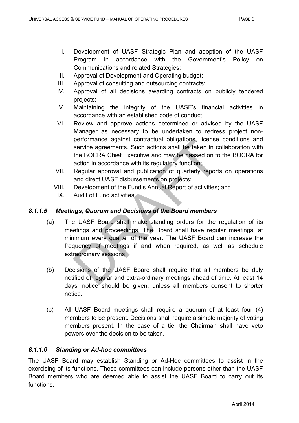- I. Development of UASF Strategic Plan and adoption of the UASF Program in accordance with the Government's Policy on Communications and related Strategies;
- II. Approval of Development and Operating budget;
- III. Approval of consulting and outsourcing contracts;
- IV. Approval of all decisions awarding contracts on publicly tendered projects;
- V. Maintaining the integrity of the UASF's financial activities in accordance with an established code of conduct;
- VI. Review and approve actions determined or advised by the UASF Manager as necessary to be undertaken to redress project nonperformance against contractual obligations, license conditions and service agreements. Such actions shall be taken in collaboration with the BOCRA Chief Executive and may be passed on to the BOCRA for action in accordance with its regulatory function;
- VII. Regular approval and publication of quarterly reports on operations and direct UASF disbursements on projects;
- VIII. Development of the Fund's Annual Report of activities; and
- IX. Audit of Fund activities.

## *8.1.1.5 Meetings, Quorum and Decisions of the Board members*

- (a) The UASF Board shall make standing orders for the regulation of its meetings and proceedings. The Board shall have regular meetings, at minimum every quarter of the year. The UASF Board can increase the frequency of meetings if and when required, as well as schedule extraordinary sessions.
- (b) Decisions of the UASF Board shall require that all members be duly notified of regular and extra-ordinary meetings ahead of time. At least 14 days' notice should be given, unless all members consent to shorter notice.
- (c) All UASF Board meetings shall require a quorum of at least four (4) members to be present. Decisions shall require a simple majority of voting members present. In the case of a tie, the Chairman shall have veto powers over the decision to be taken.

## *8.1.1.6 Standing or Ad-hoc committees*

The UASF Board may establish Standing or Ad-Hoc committees to assist in the exercising of its functions. These committees can include persons other than the UASF Board members who are deemed able to assist the UASF Board to carry out its functions.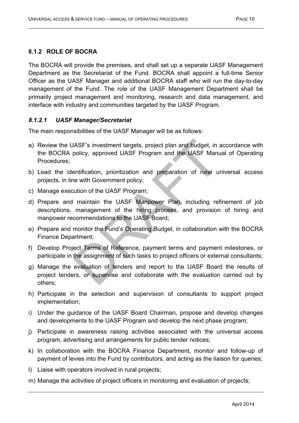## **8.1.2 ROLE OF BOCRA**

The BOCRA will provide the premises, and shall set up a separate UASF Management Department as the Secretariat of the Fund. BOCRA shall appoint a full-time Senior Officer as the UASF Manager and additional BOCRA staff who will run the day-to-day management of the Fund. The role of the UASF Management Department shall be primarily project management and monitoring, research and data management, and interface with industry and communities targeted by the UASF Program.

#### *8.1.2.1 UASF Manager/Secretariat*

The main responsibilities of the UASF Manager will be as follows:

- a) Review the UASF's investment targets, project plan and budget, in accordance with the BOCRA policy, approved UASF Program and the UASF Manual of Operating Procedures;
- b) Lead the identification, prioritization and preparation of rural universal access projects, in line with Government policy;
- c) Manage execution of the UASF Program;
- d) Prepare and maintain the UASF Manpower Plan, including refinement of job descriptions, management of the hiring process, and provision of hiring and manpower recommendations to the UASF Board;
- e) Prepare and monitor the Fund's Operating Budget, in collaboration with the BOCRA Finance Department;
- f) Develop Project Terms of Reference, payment terms and payment milestones, or participate in the assignment of such tasks to project officers or external consultants;
- g) Manage the evaluation of tenders and report to the UASF Board the results of project tenders, or supervise and collaborate with the evaluation carried out by others;
- h) Participate in the selection and supervision of consultants to support project implementation;
- i) Under the guidance of the UASF Board Chairman, propose and develop changes and developments to the UASF Program and develop the next phase program;
- j) Participate in awareness raising activities associated with the universal access program, advertising and arrangements for public tender notices;
- k) In collaboration with the BOCRA Finance Department, monitor and follow-up of payment of levies into the Fund by contributors, and acting as the liaison for queries;
- l) Liaise with operators involved in rural projects;
- m) Manage the activities of project officers in monitoring and evaluation of projects;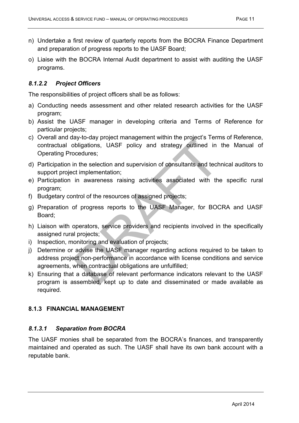- n) Undertake a first review of quarterly reports from the BOCRA Finance Department and preparation of progress reports to the UASF Board;
- o) Liaise with the BOCRA Internal Audit department to assist with auditing the UASF programs.

#### *8.1.2.2 Project Officers*

The responsibilities of project officers shall be as follows:

- a) Conducting needs assessment and other related research activities for the UASF program;
- b) Assist the UASF manager in developing criteria and Terms of Reference for particular projects;
- c) Overall and day-to-day project management within the project's Terms of Reference, contractual obligations, UASF policy and strategy outlined in the Manual of Operating Procedures;
- d) Participation in the selection and supervision of consultants and technical auditors to support project implementation;
- e) Participation in awareness raising activities associated with the specific rural program;
- f) Budgetary control of the resources of assigned projects;
- g) Preparation of progress reports to the UASF Manager, for BOCRA and UASF Board;
- h) Liaison with operators, service providers and recipients involved in the specifically assigned rural projects;
- i) Inspection, monitoring and evaluation of projects;
- j) Determine or advise the UASF manager regarding actions required to be taken to address project non-performance in accordance with license conditions and service agreements, when contractual obligations are unfulfilled;
- k) Ensuring that a database of relevant performance indicators relevant to the UASF program is assembled, kept up to date and disseminated or made available as required.

## **8.1.3 FINANCIAL MANAGEMENT**

#### *8.1.3.1 Separation from BOCRA*

The UASF monies shall be separated from the BOCRA's finances, and transparently maintained and operated as such. The UASF shall have its own bank account with a reputable bank.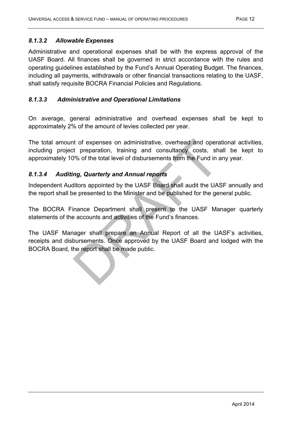#### *8.1.3.2 Allowable Expenses*

Administrative and operational expenses shall be with the express approval of the UASF Board. All finances shall be governed in strict accordance with the rules and operating guidelines established by the Fund's Annual Operating Budget. The finances, including all payments, withdrawals or other financial transactions relating to the UASF, shall satisfy requisite BOCRA Financial Policies and Regulations.

#### *8.1.3.3 Administrative and Operational Limitations*

On average, general administrative and overhead expenses shall be kept to approximately 2% of the amount of levies collected per year.

The total amount of expenses on administrative, overhead and operational activities, including project preparation, training and consultancy costs, shall be kept to approximately 10% of the total level of disbursements from the Fund in any year.

#### *8.1.3.4 Auditing, Quarterly and Annual reports*

Independent Auditors appointed by the UASF Board shall audit the UASF annually and the report shall be presented to the Minister and be published for the general public.

The BOCRA Finance Department shall present to the UASF Manager quarterly statements of the accounts and activities of the Fund's finances.

The UASF Manager shall prepare an Annual Report of all the UASF's activities, receipts and disbursements. Once approved by the UASF Board and lodged with the BOCRA Board, the report shall be made public.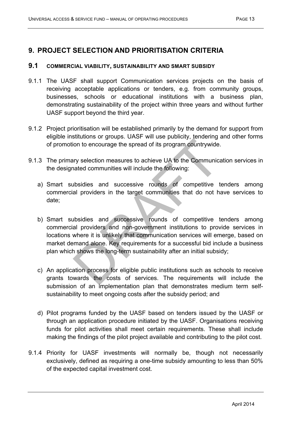# **9. PROJECT SELECTION AND PRIORITISATION CRITERIA**

#### **9.1 COMMERCIAL VIABILITY, SUSTAINABILITY AND SMART SUBSIDY**

- 9.1.1 The UASF shall support Communication services projects on the basis of receiving acceptable applications or tenders, e.g. from community groups, businesses, schools or educational institutions with a business plan, demonstrating sustainability of the project within three years and without further UASF support beyond the third year.
- 9.1.2 Project prioritisation will be established primarily by the demand for support from eligible institutions or groups. UASF will use publicity, tendering and other forms of promotion to encourage the spread of its program countrywide.
- 9.1.3 The primary selection measures to achieve UA to the Communication services in the designated communities will include the following:
	- a) Smart subsidies and successive rounds of competitive tenders among commercial providers in the target communities that do not have services to date;
	- b) Smart subsidies and successive rounds of competitive tenders among commercial providers and non-government institutions to provide services in locations where it is unlikely that communication services will emerge, based on market demand alone. Key requirements for a successful bid include a business plan which shows the long-term sustainability after an initial subsidy;
	- c) An application process for eligible public institutions such as schools to receive grants towards the costs of services. The requirements will include the submission of an implementation plan that demonstrates medium term selfsustainability to meet ongoing costs after the subsidy period; and
	- d) Pilot programs funded by the UASF based on tenders issued by the UASF or through an application procedure initiated by the UASF. Organisations receiving funds for pilot activities shall meet certain requirements. These shall include making the findings of the pilot project available and contributing to the pilot cost.
- 9.1.4 Priority for UASF investments will normally be, though not necessarily exclusively, defined as requiring a one-time subsidy amounting to less than 50% of the expected capital investment cost.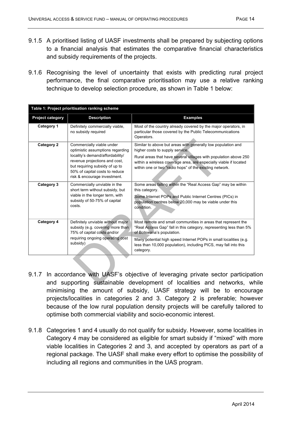- 9.1.5 A prioritised listing of UASF investments shall be prepared by subjecting options to a financial analysis that estimates the comparative financial characteristics and subsidy requirements of the projects.
- 9.1.6 Recognising the level of uncertainty that exists with predicting rural project performance, the final comparative prioritisation may use a relative ranking technique to develop selection procedure, as shown in Table 1 below:

| Table 1: Project prioritisation ranking scheme |                                                                                                                                                                                                                                                                                                                                                                                                                                                                                                                                               |                                                                                                                                                                                                                                                                                                                        |  |  |  |
|------------------------------------------------|-----------------------------------------------------------------------------------------------------------------------------------------------------------------------------------------------------------------------------------------------------------------------------------------------------------------------------------------------------------------------------------------------------------------------------------------------------------------------------------------------------------------------------------------------|------------------------------------------------------------------------------------------------------------------------------------------------------------------------------------------------------------------------------------------------------------------------------------------------------------------------|--|--|--|
| <b>Project category</b>                        | <b>Description</b>                                                                                                                                                                                                                                                                                                                                                                                                                                                                                                                            | <b>Examples</b>                                                                                                                                                                                                                                                                                                        |  |  |  |
| Category 1                                     | Definitely commercially viable,<br>no subsidy required                                                                                                                                                                                                                                                                                                                                                                                                                                                                                        | Most of the country already covered by the major operators, in<br>particular those covered by the Public Telecommunications<br>Operators.                                                                                                                                                                              |  |  |  |
| Category 2                                     | Similar to above but areas with generally low population and<br>Commercially viable under<br>optimistic assumptions regarding<br>higher costs to supply service.<br>locality's demand/affordability/<br>Rural areas that have several villages with population above 250<br>revenue projections and cost,<br>within a wireless coverage area, are especially viable if located<br>but requiring subsidy of up to<br>within one or two "radio hops" of the existing network.<br>50% of capital costs to reduce<br>risk & encourage investment. |                                                                                                                                                                                                                                                                                                                        |  |  |  |
| Category 3                                     | Commercially unviable in the<br>short term without subsidy, but<br>viable in the longer term, with<br>subsidy of 50-75% of capital<br>costs.                                                                                                                                                                                                                                                                                                                                                                                                  | Some areas falling within the "Real Access Gap" may be within<br>this category.<br>Some Internet POPs and Public Internet Centres (PICs) in<br>population centres below 20,000 may be viable under this<br>condition.                                                                                                  |  |  |  |
| Category 4                                     | Definitely unviable without major<br>subsidy (e.g. covering more than<br>75% of capital costs and/or<br>requiring ongoing operating cost<br>subsidy)                                                                                                                                                                                                                                                                                                                                                                                          | Most remote and small communities in areas that represent the<br>"Real Access Gap" fall in this category, representing less than 5%<br>of Botswana's population.<br>Many potential high speed Internet POPs in small localities (e.g.<br>less than 10,000 population), including PICS, may fall into this<br>category. |  |  |  |

- 9.1.7 In accordance with UASF's objective of leveraging private sector participation and supporting sustainable development of localities and networks, while minimising the amount of subsidy, UASF strategy will be to encourage projects/localities in categories 2 and 3. Category 2 is preferable; however because of the low rural population density projects will be carefully tailored to optimise both commercial viability and socio-economic interest.
- 9.1.8 Categories 1 and 4 usually do not qualify for subsidy. However, some localities in Category 4 may be considered as eligible for smart subsidy if "mixed" with more viable localities in Categories 2 and 3, and accepted by operators as part of a regional package. The UASF shall make every effort to optimise the possibility of including all regions and communities in the UAS program.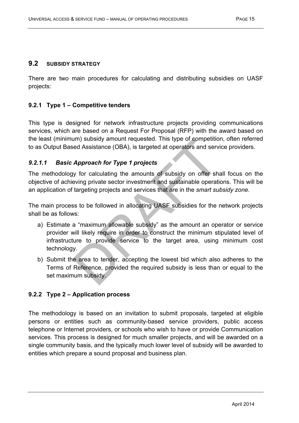## **9.2 SUBSIDY STRATEGY**

There are two main procedures for calculating and distributing subsidies on UASF projects:

## **9.2.1 Type 1 – Competitive tenders**

This type is designed for network infrastructure projects providing communications services, which are based on a Request For Proposal (RFP) with the award based on the least (minimum) subsidy amount requested. This type of competition, often referred to as Output Based Assistance (OBA), is targeted at operators and service providers.

## *9.2.1.1 Basic Approach for Type 1 projects*

The methodology for calculating the amounts of subsidy on offer shall focus on the objective of achieving private sector investment and sustainable operations. This will be an application of targeting projects and services that are in the *smart subsidy zone.*

The main process to be followed in allocating UASF subsidies for the network projects shall be as follows:

- a) Estimate a "maximum allowable subsidy" as the amount an operator or service provider will likely require in order to construct the minimum stipulated level of infrastructure to provide service to the target area, using minimum cost technology.
- b) Submit the area to tender, accepting the lowest bid which also adheres to the Terms of Reference, provided the required subsidy is less than or equal to the set maximum subsidy.

# **9.2.2 Type 2 – Application process**

The methodology is based on an invitation to submit proposals, targeted at eligible persons or entities such as community-based service providers, public access telephone or Internet providers, or schools who wish to have or provide Communication services. This process is designed for much smaller projects, and will be awarded on a single community basis, and the typically much lower level of subsidy will be awarded to entities which prepare a sound proposal and business plan.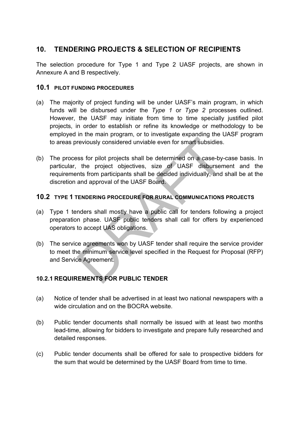# **10. TENDERING PROJECTS & SELECTION OF RECIPIENTS**

The selection procedure for Type 1 and Type 2 UASF projects, are shown in Annexure A and B respectively.

## **10.1 PILOT FUNDING PROCEDURES**

- (a) The majority of project funding will be under UASF's main program, in which funds will be disbursed under the *Type 1* or *Type 2* processes outlined. However, the UASF may initiate from time to time specially justified pilot projects, in order to establish or refine its knowledge or methodology to be employed in the main program, or to investigate expanding the UASF program to areas previously considered unviable even for smart subsidies.
- (b) The process for pilot projects shall be determined on a case-by-case basis. In particular, the project objectives, size of UASF disbursement and the requirements from participants shall be decided individually, and shall be at the discretion and approval of the UASF Board.

## **10.2 TYPE 1 TENDERING PROCEDURE FOR RURAL COMMUNICATIONS PROJECTS**

- (a) Type 1 tenders shall mostly have a public call for tenders following a project preparation phase. UASF public tenders shall call for offers by experienced operators to accept UAS obligations.
- (b) The service agreements won by UASF tender shall require the service provider to meet the minimum service level specified in the Request for Proposal (RFP) and Service Agreement.

# **10.2.1 REQUIREMENTS FOR PUBLIC TENDER**

- (a) Notice of tender shall be advertised in at least two national newspapers with a wide circulation and on the BOCRA website.
- (b) Public tender documents shall normally be issued with at least two months lead-time, allowing for bidders to investigate and prepare fully researched and detailed responses.
- (c) Public tender documents shall be offered for sale to prospective bidders for the sum that would be determined by the UASF Board from time to time.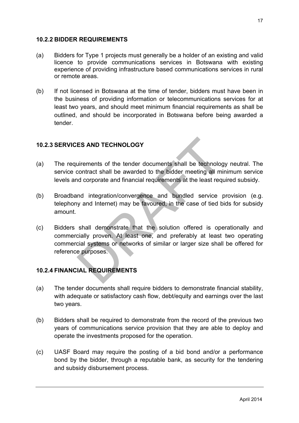#### **10.2.2 BIDDER REQUIREMENTS**

- (a) Bidders for Type 1 projects must generally be a holder of an existing and valid licence to provide communications services in Botswana with existing experience of providing infrastructure based communications services in rural or remote areas.
- (b) If not licensed in Botswana at the time of tender, bidders must have been in the business of providing information or telecommunications services for at least two years, and should meet minimum financial requirements as shall be outlined, and should be incorporated in Botswana before being awarded a tender.

#### **10.2.3 SERVICES AND TECHNOLOGY**

- (a) The requirements of the tender documents shall be technology neutral. The service contract shall be awarded to the bidder meeting all minimum service levels and corporate and financial requirements at the least required subsidy.
- (b) Broadband integration/convergence and bundled service provision (e.g. telephony and Internet) may be favoured, in the case of tied bids for subsidy amount.
- (c) Bidders shall demonstrate that the solution offered is operationally and commercially proven. At least one, and preferably at least two operating commercial systems or networks of similar or larger size shall be offered for reference purposes.

## **10.2.4 FINANCIAL REQUIREMENTS**

- (a) The tender documents shall require bidders to demonstrate financial stability, with adequate or satisfactory cash flow, debt/equity and earnings over the last two years.
- (b) Bidders shall be required to demonstrate from the record of the previous two years of communications service provision that they are able to deploy and operate the investments proposed for the operation.
- (c) UASF Board may require the posting of a bid bond and/or a performance bond by the bidder, through a reputable bank, as security for the tendering and subsidy disbursement process.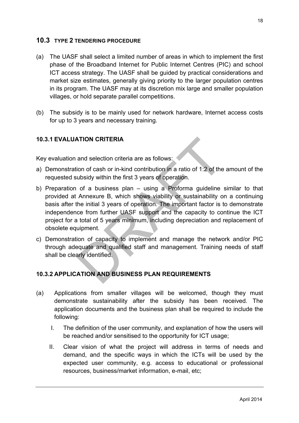# **10.3 TYPE 2 TENDERING PROCEDURE**

- (a) The UASF shall select a limited number of areas in which to implement the first phase of the Broadband Internet for Public Internet Centres (PIC) and school ICT access strategy. The UASF shall be guided by practical considerations and market size estimates, generally giving priority to the larger population centres in its program. The UASF may at its discretion mix large and smaller population villages, or hold separate parallel competitions.
- (b) The subsidy is to be mainly used for network hardware, Internet access costs for up to 3 years and necessary training.

# **10.3.1 EVALUATION CRITERIA**

Key evaluation and selection criteria are as follows:

- a) Demonstration of cash or in-kind contribution in a ratio of 1:2 of the amount of the requested subsidy within the first 3 years of operation.
- b) Preparation of a business plan using a Proforma guideline similar to that provided at Annexure B, which shows viability or sustainability on a continuing basis after the initial 3 years of operation. The important factor is to demonstrate independence from further UASF support and the capacity to continue the ICT project for a total of 5 years minimum, including depreciation and replacement of obsolete equipment.
- c) Demonstration of capacity to implement and manage the network and/or PIC through adequate and qualified staff and management. Training needs of staff shall be clearly identified.

# **10.3.2 APPLICATION AND BUSINESS PLAN REQUIREMENTS**

- (a) Applications from smaller villages will be welcomed, though they must demonstrate sustainability after the subsidy has been received. The application documents and the business plan shall be required to include the following:
	- I. The definition of the user community, and explanation of how the users will be reached and/or sensitised to the opportunity for ICT usage;
	- II. Clear vision of what the project will address in terms of needs and demand, and the specific ways in which the ICTs will be used by the expected user community, e.g. access to educational or professional resources, business/market information, e-mail, etc;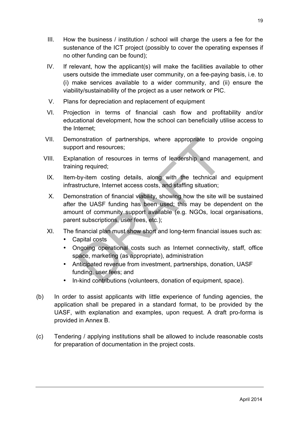- III. How the business / institution / school will charge the users a fee for the sustenance of the ICT project (possibly to cover the operating expenses if no other funding can be found);
- IV. If relevant, how the applicant(s) will make the facilities available to other users outside the immediate user community, on a fee-paying basis, i.e. to (i) make services available to a wider community, and (ii) ensure the viability/sustainability of the project as a user network or PIC.
- V. Plans for depreciation and replacement of equipment
- VI. Projection in terms of financial cash flow and profitability and/or educational development, how the school can beneficially utilise access to the Internet;
- VII. Demonstration of partnerships, where appropriate to provide ongoing support and resources;
- VIII. Explanation of resources in terms of leadership and management, and training required;
	- IX. Item-by-item costing details, along with the technical and equipment infrastructure, Internet access costs, and staffing situation;
	- X. Demonstration of financial viability, showing how the site will be sustained after the UASF funding has been used; this may be dependent on the amount of community support available (e.g. NGOs, local organisations, parent subscriptions, user fees, etc.);
	- XI. The financial plan must show short and long-term financial issues such as:
		- Capital costs
		- Ongoing operational costs such as Internet connectivity, staff, office space, marketing (as appropriate), administration
		- Anticipated revenue from investment, partnerships, donation, UASF funding, user fees; and
		- In-kind contributions (volunteers, donation of equipment, space).
- (b) In order to assist applicants with little experience of funding agencies, the application shall be prepared in a standard format, to be provided by the UASF, with explanation and examples, upon request. A draft pro-forma is provided in Annex B.
- (c) Tendering / applying institutions shall be allowed to include reasonable costs for preparation of documentation in the project costs.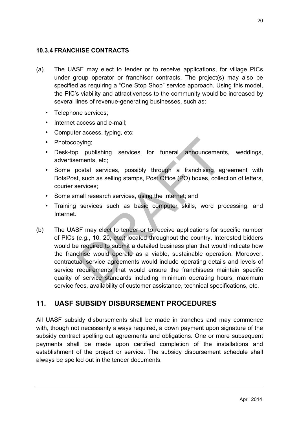## **10.3.4 FRANCHISE CONTRACTS**

- (a) The UASF may elect to tender or to receive applications, for village PICs under group operator or franchisor contracts. The project(s) may also be specified as requiring a "One Stop Shop" service approach. Using this model, the PIC's viability and attractiveness to the community would be increased by several lines of revenue-generating businesses, such as:
	- Telephone services;
	- Internet access and e-mail;
	- Computer access, typing, etc;
	- Photocopying;
	- Desk-top publishing services for funeral announcements, weddings, advertisements, etc;
	- Some postal services, possibly through a franchising agreement with BotsPost, such as selling stamps, Post Office (PO) boxes, collection of letters, courier services;
	- Some small research services, using the Internet; and
	- Training services such as basic computer skills, word processing, and Internet.
- (b) The UASF may elect to tender or to receive applications for specific number of PICs (e.g., 10, 20, etc.) located throughout the country. Interested bidders would be required to submit a detailed business plan that would indicate how the franchise would operate as a viable, sustainable operation. Moreover, contractual service agreements would include operating details and levels of service requirements that would ensure the franchisees maintain specific quality of service standards including minimum operating hours, maximum service fees, availability of customer assistance, technical specifications, etc.

# **11. UASF SUBSIDY DISBURSEMENT PROCEDURES**

All UASF subsidy disbursements shall be made in tranches and may commence with, though not necessarily always required, a down payment upon signature of the subsidy contract spelling out agreements and obligations. One or more subsequent payments shall be made upon certified completion of the installations and establishment of the project or service. The subsidy disbursement schedule shall always be spelled out in the tender documents.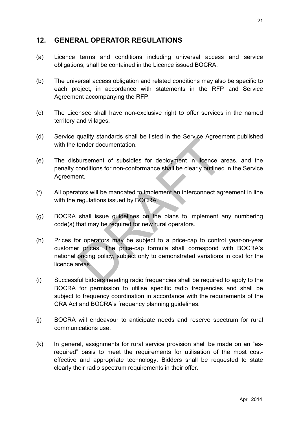# **12. GENERAL OPERATOR REGULATIONS**

- (a) Licence terms and conditions including universal access and service obligations, shall be contained in the Licence issued BOCRA.
- (b) The universal access obligation and related conditions may also be specific to each project, in accordance with statements in the RFP and Service Agreement accompanying the RFP.
- (c) The Licensee shall have non-exclusive right to offer services in the named territory and villages.
- (d) Service quality standards shall be listed in the Service Agreement published with the tender documentation.
- (e) The disbursement of subsidies for deployment in licence areas, and the penalty conditions for non-conformance shall be clearly outlined in the Service Agreement.
- (f) All operators will be mandated to implement an interconnect agreement in line with the regulations issued by BOCRA.
- (g) BOCRA shall issue guidelines on the plans to implement any numbering code(s) that may be required for new rural operators.
- (h) Prices for operators may be subject to a price-cap to control year-on-year customer prices. The price-cap formula shall correspond with BOCRA's national pricing policy, subject only to demonstrated variations in cost for the licence areas.
- (i) Successful bidders needing radio frequencies shall be required to apply to the BOCRA for permission to utilise specific radio frequencies and shall be subject to frequency coordination in accordance with the requirements of the CRA Act and BOCRA's frequency planning guidelines.
- (j) BOCRA will endeavour to anticipate needs and reserve spectrum for rural communications use.
- (k) In general, assignments for rural service provision shall be made on an "asrequired" basis to meet the requirements for utilisation of the most costeffective and appropriate technology. Bidders shall be requested to state clearly their radio spectrum requirements in their offer.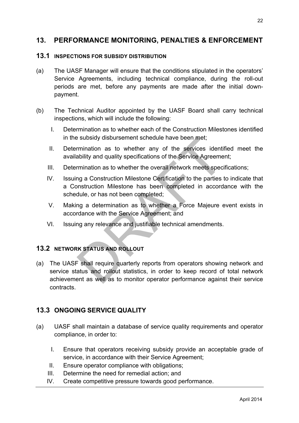# **13. PERFORMANCE MONITORING, PENALTIES & ENFORCEMENT**

#### **13.1 INSPECTIONS FOR SUBSIDY DISTRIBUTION**

- (a) The UASF Manager will ensure that the conditions stipulated in the operators' Service Agreements, including technical compliance, during the roll-out periods are met, before any payments are made after the initial downpayment.
- (b) The Technical Auditor appointed by the UASF Board shall carry technical inspections, which will include the following:
	- I. Determination as to whether each of the Construction Milestones identified in the subsidy disbursement schedule have been met;
	- II. Determination as to whether any of the services identified meet the availability and quality specifications of the Service Agreement;
	- III. Determination as to whether the overall network meets specifications;
	- IV. Issuing a Construction Milestone Certification to the parties to indicate that a Construction Milestone has been completed in accordance with the schedule, or has not been completed;
	- V. Making a determination as to whether a Force Majeure event exists in accordance with the Service Agreement; and
	- VI. Issuing any relevance and justifiable technical amendments.

## **13.2 NETWORK STATUS AND ROLLOUT**

(a) The UASF shall require quarterly reports from operators showing network and service status and rollout statistics, in order to keep record of total network achievement as well as to monitor operator performance against their service contracts.

# **13.3 ONGOING SERVICE QUALITY**

- (a) UASF shall maintain a database of service quality requirements and operator compliance, in order to:
	- I. Ensure that operators receiving subsidy provide an acceptable grade of service, in accordance with their Service Agreement;
	- II. Ensure operator compliance with obligations;
	- III. Determine the need for remedial action; and
	- IV. Create competitive pressure towards good performance.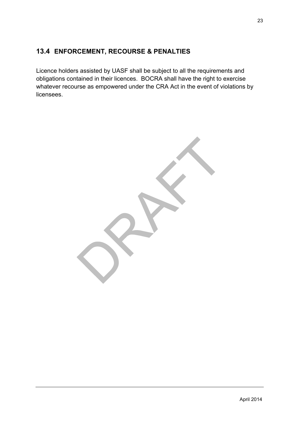# **13.4 ENFORCEMENT, RECOURSE & PENALTIES**

Licence holders assisted by UASF shall be subject to all the requirements and obligations contained in their licences. BOCRA shall have the right to exercise whatever recourse as empowered under the CRA Act in the event of violations by licensees.

April 2014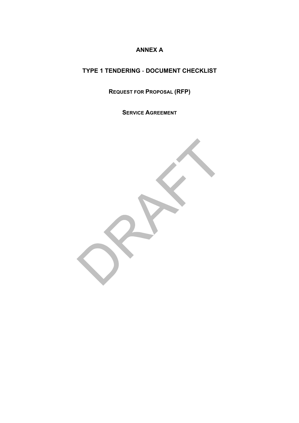# **ANNEX A**

# **TYPE 1 TENDERING** - **DOCUMENT CHECKLIST**

**REQUEST FOR PROPOSAL (RFP)**

**SERVICE AGREEMENT**

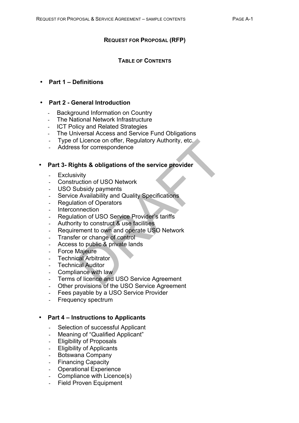#### **REQUEST FOR PROPOSAL (RFP)**

#### **TABLE OF CONTENTS**

#### • **Part 1 – Definitions**

#### • **Part 2 - General Introduction**

- Background Information on Country
- The National Network Infrastructure
- **ICT Policy and Related Strategies**
- The Universal Access and Service Fund Obligations
- Type of Licence on offer, Regulatory Authority, etc.
- Address for correspondence

#### • **Part 3- Rights & obligations of the service provider**

- **Exclusivity**
- Construction of USO Network
- USO Subsidy payments
- Service Availability and Quality Specifications
- Regulation of Operators
- **Interconnection**
- Regulation of USO Service Provider's tariffs
- Authority to construct & use facilities
- Requirement to own and operate USO Network
- Transfer or change of control
- Access to public & private lands
- Force Majeure
- **Technical Arbitrator**
- **Technical Auditor**
- Compliance with law
- Terms of licence and USO Service Agreement
- Other provisions of the USO Service Agreement
- Fees payable by a USO Service Provider
- Frequency spectrum

#### • **Part 4 – Instructions to Applicants**

- Selection of successful Applicant
- Meaning of "Qualified Applicant"
- Eligibility of Proposals
- Eligibility of Applicants
- Botswana Company
- Financing Capacity
- **Operational Experience**
- Compliance with Licence(s)
- Field Proven Equipment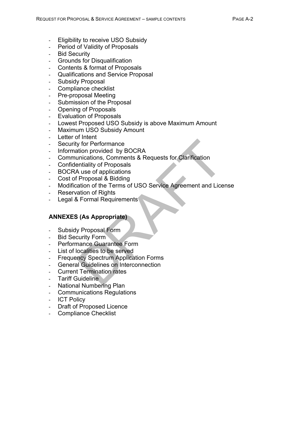- Eligibility to receive USO Subsidy
- Period of Validity of Proposals
- Bid Security
- Grounds for Disqualification
- Contents & format of Proposals
- Qualifications and Service Proposal
- Subsidy Proposal
- Compliance checklist
- Pre-proposal Meeting
- Submission of the Proposal
- Opening of Proposals
- Evaluation of Proposals
- Lowest Proposed USO Subsidy is above Maximum Amount
- Maximum USO Subsidy Amount
- Letter of Intent
- Security for Performance
- Information provided by BOCRA
- Communications, Comments & Requests for Clarification
- Confidentiality of Proposals
- BOCRA use of applications
- Cost of Proposal & Bidding
- Modification of the Terms of USO Service Agreement and License
- **Reservation of Rights**
- Legal & Formal Requirements

## **ANNEXES (As Appropriate)**

- Subsidy Proposal Form
- Bid Security Form
- Performance Guarantee Form
- List of localities to be served
- **Frequency Spectrum Application Forms**
- General Guidelines on Interconnection
- Current Termination rates
- Tariff Guideline
- **National Numbering Plan**
- Communications Regulations
- ICT Policy
- Draft of Proposed Licence
- Compliance Checklist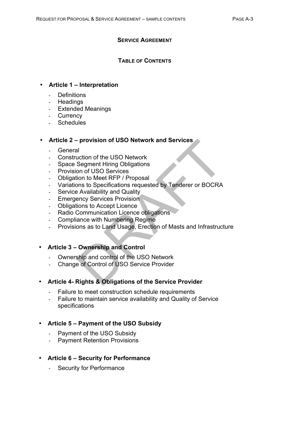#### **SERVICE AGREEMENT**

#### **TABLE OF CONTENTS**

#### • **Article 1 – Interpretation**

- **Definitions**
- **Headings**
- Extended Meanings
- **Currency**
- **Schedules**

#### • **Article 2 – provision of USO Network and Services**

- General
- Construction of the USO Network
- Space Segment Hiring Obligations
- Provision of USO Services
- Obligation to Meet RFP / Proposal
- Variations to Specifications requested by Tenderer or BOCRA
- Service Availability and Quality
- Emergency Services Provision
- Obligations to Accept Licence
- Radio Communication Licence obligations
- Compliance with Numbering Regime
- Provisions as to Land Usage, Erection of Masts and Infrastructure
- **Article 3 – Ownership and Control**
	- Ownership and control of the USO Network
	- Change of Control of USO Service Provider

## • **Article 4- Rights & Obligations of the Service Provider**

- Failure to meet construction schedule requirements
- Failure to maintain service availability and Quality of Service specifications

## • **Article 5 – Payment of the USO Subsidy**

- Payment of the USO Subsidy
- Payment Retention Provisions
- **Article 6 – Security for Performance**
	- Security for Performance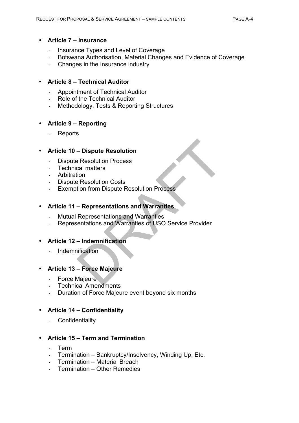#### • **Article 7 – Insurance**

- Insurance Types and Level of Coverage
- Botswana Authorisation, Material Changes and Evidence of Coverage
- Changes in the Insurance industry

## • **Article 8 – Technical Auditor**

- Appointment of Technical Auditor
- Role of the Technical Auditor
- Methodology, Tests & Reporting Structures

## • **Article 9 – Reporting**

- Reports

#### • **Article 10 – Dispute Resolution**

- Dispute Resolution Process
- Technical matters
- **Arbitration**
- Dispute Resolution Costs
- Exemption from Dispute Resolution Process

## • **Article 11 – Representations and Warranties**

- Mutual Representations and Warranties
- Representations and Warranties of USO Service Provider

#### • **Article 12 – Indemnification**

- Indemnification

## • **Article 13 – Force Majeure**

- Force Majeure
- Technical Amendments
- Duration of Force Majeure event beyond six months

#### • **Article 14 – Confidentiality**

- Confidentiality

## • **Article 15 – Term and Termination**

- Term
- Termination Bankruptcy/Insolvency, Winding Up, Etc.
- Termination Material Breach
- Termination Other Remedies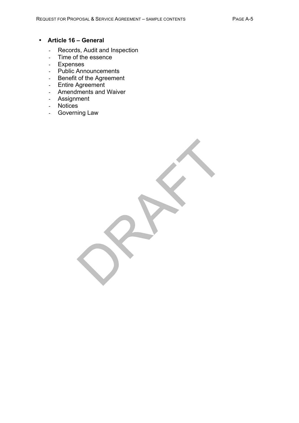#### • **Article 16 – General**

- Records, Audit and Inspection
- Time of the essence
- Expenses
- Public Announcements
- Benefit of the Agreement
- Entire Agreement
- Amendments and Waiver
- Assignment
- Notices
- Governing Law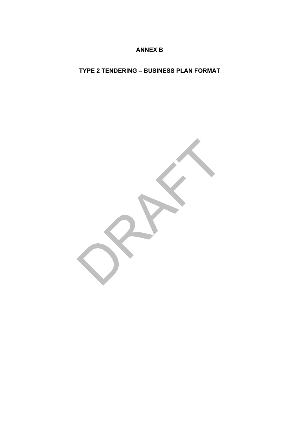## **ANNEX B**

# **TYPE 2 TENDERING – BUSINESS PLAN FORMAT**

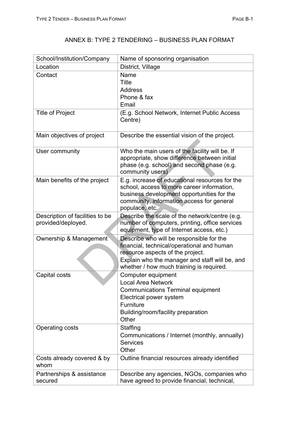# ANNEX B: TYPE 2 TENDERING – BUSINESS PLAN FORMAT

| School/Institution/Company                            | Name of sponsoring organisation                                                                                                                                                                                          |
|-------------------------------------------------------|--------------------------------------------------------------------------------------------------------------------------------------------------------------------------------------------------------------------------|
| Location                                              | District, Village                                                                                                                                                                                                        |
| Contact                                               | Name<br>Title<br><b>Address</b><br>Phone & fax<br>Email                                                                                                                                                                  |
| <b>Title of Project</b>                               | (E.g. School Network, Internet Public Access<br>Centre)                                                                                                                                                                  |
| Main objectives of project                            | Describe the essential vision of the project.                                                                                                                                                                            |
| User community                                        | Who the main users of the facility will be. If<br>appropriate, show difference between initial<br>phase (e.g. school) and second phase (e.g.<br>community users)                                                         |
| Main benefits of the project                          | E.g. increase of educational resources for the<br>school, access to more career information,<br>business development opportunities for the<br>community, information access for general<br>populace, etc.                |
| Description of facilities to be<br>provided/deployed. | Describe the scale of the network/centre (e.g.<br>number of computers, printing, office services<br>equipment, type of Internet access, etc.)                                                                            |
| Ownership & Management                                | Describe who will be responsible for the<br>financial, technical/operational and human<br>resource aspects of the project.<br>Explain who the manager and staff will be, and<br>whether / how much training is required. |
| Capital costs                                         | Computer equipment<br><b>Local Area Network</b><br><b>Communications Terminal equipment</b><br>Electrical power system<br>Furniture<br>Building/room/facility preparation<br>Other                                       |
| Operating costs                                       | Staffing<br>Communications / Internet (monthly, annually)<br><b>Services</b><br>Other                                                                                                                                    |
| Costs already covered & by<br>whom                    | Outline financial resources already identified                                                                                                                                                                           |
| Partnerships & assistance<br>secured                  | Describe any agencies, NGOs, companies who<br>have agreed to provide financial, technical,                                                                                                                               |